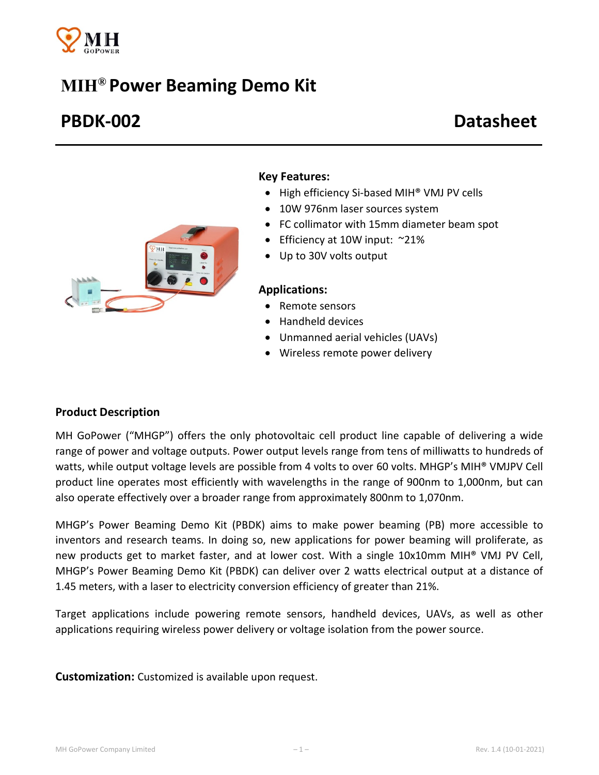

# **MIH® Power Beaming Demo Kit**

# **PBDK-002 Datasheet**



### **Key Features:**

- High efficiency Si-based MIH<sup>®</sup> VMJ PV cells
- 10W 976nm laser sources system
- FC collimator with 15mm diameter beam spot
- **•** Efficiency at 10W input:  $\approx$ 21%
- Up to 30V volts output

#### **Applications:**

- Remote sensors
- Handheld devices
- Unmanned aerial vehicles (UAVs)
- Wireless remote power delivery

### **Product Description**

MH GoPower ("MHGP") offers the only photovoltaic cell product line capable of delivering a wide range of power and voltage outputs. Power output levels range from tens of milliwatts to hundreds of watts, while output voltage levels are possible from 4 volts to over 60 volts. MHGP's MIH® VMJPV Cell product line operates most efficiently with wavelengths in the range of 900nm to 1,000nm, but can also operate effectively over a broader range from approximately 800nm to 1,070nm.

MHGP's Power Beaming Demo Kit (PBDK) aims to make power beaming (PB) more accessible to inventors and research teams. In doing so, new applications for power beaming will proliferate, as new products get to market faster, and at lower cost. With a single 10x10mm MIH® VMJ PV Cell, MHGP's Power Beaming Demo Kit (PBDK) can deliver over 2 watts electrical output at a distance of 1.45 meters, with a laser to electricity conversion efficiency of greater than 21%.

Target applications include powering remote sensors, handheld devices, UAVs, as well as other applications requiring wireless power delivery or voltage isolation from the power source.

**Customization:** Customized is available upon request.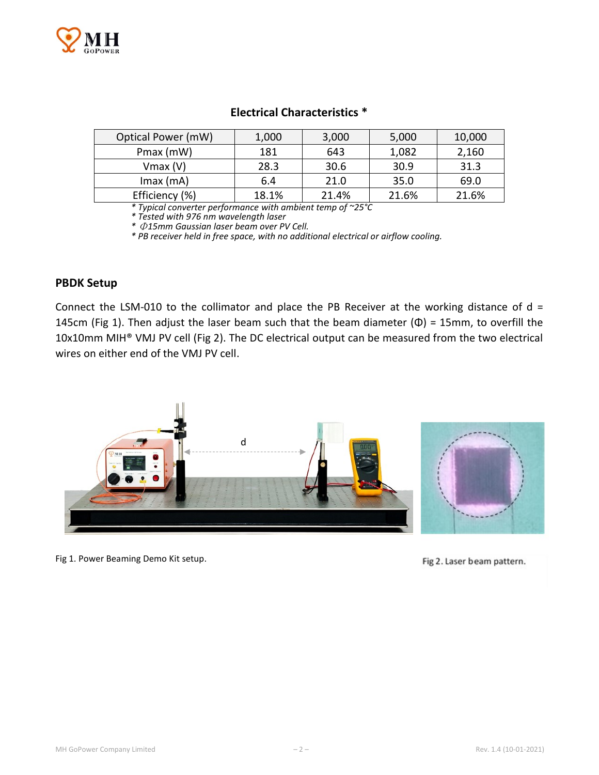

# **Electrical Characteristics \***

| Optical Power (mW) | 1,000 | 3,000 | 5,000 | 10,000 |
|--------------------|-------|-------|-------|--------|
| Pmax (mW)          | 181   | 643   | 1,082 | 2,160  |
| $V$ max $(V)$      | 28.3  | 30.6  | 30.9  | 31.3   |
| $Imax$ (mA)        | 6.4   | 21.0  | 35.0  | 69.0   |
| Efficiency (%)     | 18.1% | 21.4% | 21.6% | 21.6%  |

*\* Typical converter performance with ambient temp of ~25°C*

*\* Tested with 976 nm wavelength laser*

*\** Φ*15mm Gaussian laser beam over PV Cell.*

*\* PB receiver held in free space, with no additional electrical or airflow cooling.*

#### **PBDK Setup**

Connect the LSM-010 to the collimator and place the PB Receiver at the working distance of  $d =$ 145cm (Fig 1). Then adjust the laser beam such that the beam diameter (Φ) = 15mm, to overfill the 10x10mm MIH® VMJ PV cell (Fig 2). The DC electrical output can be measured from the two electrical wires on either end of the VMJ PV cell.



Fig 1. Power Beaming Demo Kit setup.

Fig 2. Laser beam pattern.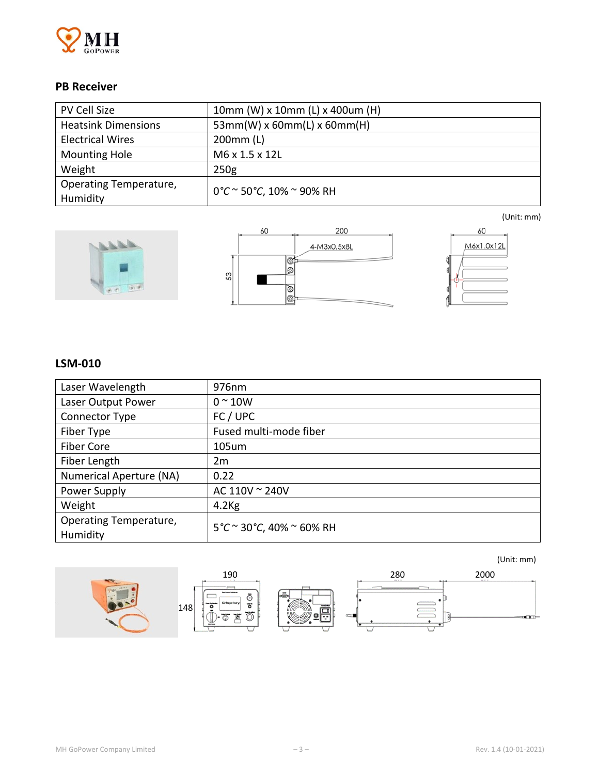

# **PB Receiver**

| PV Cell Size               | 10mm (W) x 10mm (L) x 400um (H) |  |
|----------------------------|---------------------------------|--|
| <b>Heatsink Dimensions</b> | $53mm(W)$ x 60mm(L) x 60mm(H)   |  |
| <b>Electrical Wires</b>    | 200mm (L)                       |  |
| <b>Mounting Hole</b>       | M6 x 1.5 x 12L                  |  |
| Weight                     | 250g                            |  |
| Operating Temperature,     | 0°C ~ 50°C, 10% ~ 90% RH        |  |
| Humidity                   |                                 |  |







# **LSM-010**

| Laser Wavelength                   | 976nm                              |
|------------------------------------|------------------------------------|
| Laser Output Power                 | $0 \sim 10W$                       |
| Connector Type                     | FC / UPC                           |
| Fiber Type                         | Fused multi-mode fiber             |
| Fiber Core                         | 105um                              |
| Fiber Length                       | 2m                                 |
| Numerical Aperture (NA)            | 0.22                               |
| Power Supply                       | AC 110V ~ 240V                     |
| Weight                             | 4.2 <sub>kg</sub>                  |
| Operating Temperature,<br>Humidity | $5^{\circ}$ C ~ 30°C, 40% ~ 60% RH |